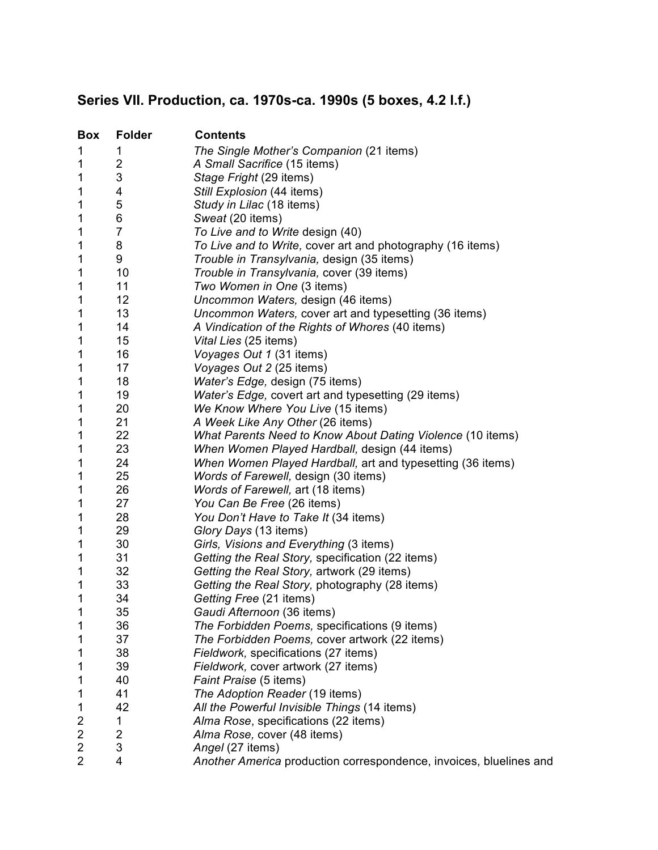## **Series VII. Production, ca. 1970s-ca. 1990s (5 boxes, 4.2 l.f.)**

| <b>Box</b>          | <b>Folder</b>  | <b>Contents</b>                                                     |
|---------------------|----------------|---------------------------------------------------------------------|
| 1                   | 1.             | The Single Mother's Companion (21 items)                            |
| 1                   | 2              | A Small Sacrifice (15 items)                                        |
| 1                   | 3              | Stage Fright (29 items)                                             |
| 1                   | 4              | Still Explosion (44 items)                                          |
| 1                   | 5              | Study in Lilac (18 items)                                           |
| 1                   | 6              | Sweat (20 items)                                                    |
| 1                   | $\overline{7}$ | To Live and to Write design (40)                                    |
| 1                   | 8              | To Live and to Write, cover art and photography (16 items)          |
| 1                   | 9              | Trouble in Transylvania, design (35 items)                          |
| 1                   | 10             | Trouble in Transylvania, cover (39 items)                           |
| 1                   | 11             | Two Women in One (3 items)                                          |
| 1                   | 12             | Uncommon Waters, design (46 items)                                  |
| 1                   | 13             | Uncommon Waters, cover art and typesetting (36 items)               |
| 1                   | 14             | A Vindication of the Rights of Whores (40 items)                    |
| 1                   | 15             | Vital Lies (25 items)                                               |
| 1                   | 16             | Voyages Out 1 (31 items)                                            |
| 1                   | 17             | Voyages Out 2 (25 items)                                            |
| 1                   | 18             | Water's Edge, design (75 items)                                     |
| 1                   | 19             | Water's Edge, covert art and typesetting (29 items)                 |
| 1                   | 20             | We Know Where You Live (15 items)                                   |
| 1                   | 21             | A Week Like Any Other (26 items)                                    |
| 1                   | 22             | What Parents Need to Know About Dating Violence (10 items)          |
| 1                   | 23             | When Women Played Hardball, design (44 items)                       |
| 1                   | 24             | When Women Played Hardball, art and typesetting (36 items)          |
| 1                   | 25             | Words of Farewell, design (30 items)                                |
| 1                   | 26             | Words of Farewell, art (18 items)                                   |
| 1                   | 27             | You Can Be Free (26 items)                                          |
| 1                   | 28             | You Don't Have to Take It (34 items)                                |
| 1                   | 29             | Glory Days (13 items)                                               |
| 1                   | 30             | Girls, Visions and Everything (3 items)                             |
| 1                   | 31             | Getting the Real Story, specification (22 items)                    |
| 1                   | 32             | Getting the Real Story, artwork (29 items)                          |
| 1                   | 33             | Getting the Real Story, photography (28 items)                      |
| 1                   | 34             | Getting Free (21 items)                                             |
| 1                   | 35             | Gaudi Afternoon (36 items)                                          |
| 1                   | 36             | The Forbidden Poems, specifications (9 items)                       |
| 1                   | 37             | The Forbidden Poems, cover artwork (22 items)                       |
| 1                   | 38<br>39       | Fieldwork, specifications (27 items)                                |
| 1                   | 40             | Fieldwork, cover artwork (27 items)                                 |
| 1                   | 41             | Faint Praise (5 items)<br>The Adoption Reader (19 items)            |
| 1                   | 42             |                                                                     |
| 1<br>$\overline{2}$ | 1              | All the Powerful Invisible Things (14 items)                        |
| $\overline{2}$      | 2              | Alma Rose, specifications (22 items)<br>Alma Rose, cover (48 items) |
| 2                   | 3              | Angel (27 items)                                                    |
| 2                   | 4              | Another America production correspondence, invoices, bluelines and  |
|                     |                |                                                                     |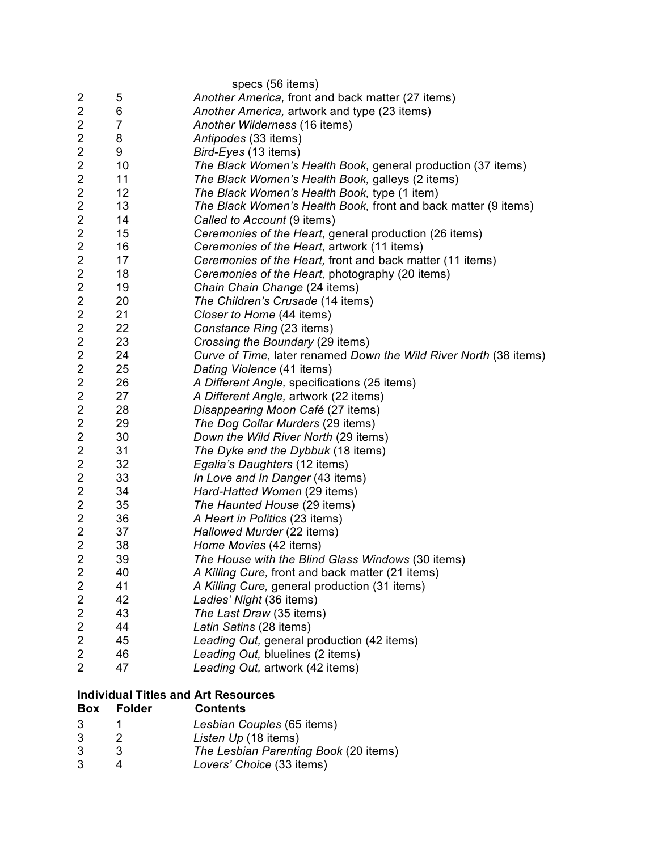|                         |                | specs (56 items)                                                  |
|-------------------------|----------------|-------------------------------------------------------------------|
| 2                       | 5              | Another America, front and back matter (27 items)                 |
| $\overline{2}$          | 6              | Another America, artwork and type (23 items)                      |
| $\overline{2}$          | $\overline{7}$ | Another Wilderness (16 items)                                     |
| 2                       | 8              | Antipodes (33 items)                                              |
| $\overline{c}$          | 9              | Bird-Eyes (13 items)                                              |
| $\overline{2}$          | 10             | The Black Women's Health Book, general production (37 items)      |
| $\overline{2}$          | 11             | The Black Women's Health Book, galleys (2 items)                  |
| $\overline{\mathbf{c}}$ | 12             | The Black Women's Health Book, type (1 item)                      |
| $\overline{2}$          | 13             | The Black Women's Health Book, front and back matter (9 items)    |
| $\overline{\mathbf{c}}$ | 14             | Called to Account (9 items)                                       |
| $\overline{c}$          | 15             | Ceremonies of the Heart, general production (26 items)            |
| $\overline{2}$          | 16             | Ceremonies of the Heart, artwork (11 items)                       |
| 2                       | 17             | Ceremonies of the Heart, front and back matter (11 items)         |
| $\overline{c}$          | 18             | Ceremonies of the Heart, photography (20 items)                   |
| $\overline{\mathbf{c}}$ | 19             | Chain Chain Change (24 items)                                     |
| $\overline{c}$          | 20             | The Children's Crusade (14 items)                                 |
| $\overline{2}$          | 21             | Closer to Home (44 items)                                         |
| 2                       | 22             | Constance Ring (23 items)                                         |
| $\overline{\mathbf{c}}$ | 23             | Crossing the Boundary (29 items)                                  |
| $\overline{\mathbf{c}}$ | 24             | Curve of Time, later renamed Down the Wild River North (38 items) |
| $\overline{2}$          | 25             | Dating Violence (41 items)                                        |
| $\overline{2}$          | 26             | A Different Angle, specifications (25 items)                      |
| $\overline{c}$          | 27             | A Different Angle, artwork (22 items)                             |
| $\overline{\mathbf{c}}$ | 28             | Disappearing Moon Café (27 items)                                 |
| $\overline{c}$          | 29             | The Dog Collar Murders (29 items)                                 |
| $\overline{2}$          | 30             | Down the Wild River North (29 items)                              |
| 2                       | 31             | The Dyke and the Dybbuk (18 items)                                |
| $\overline{\mathbf{c}}$ | 32             | Egalia's Daughters (12 items)                                     |
| $\overline{\mathbf{c}}$ | 33             | In Love and In Danger (43 items)                                  |
| $\overline{2}$          | 34             | Hard-Hatted Women (29 items)                                      |
| $\overline{2}$          | 35             | The Haunted House (29 items)                                      |
| $\overline{c}$          | 36             | A Heart in Politics (23 items)                                    |
| $\overline{\mathbf{c}}$ | 37             | Hallowed Murder (22 items)                                        |
| $\overline{2}$          | 38             | Home Movies (42 items)                                            |
| $\overline{2}$          | 39             | The House with the Blind Glass Windows (30 items)                 |
| $\overline{2}$          | 40             | A Killing Cure, front and back matter (21 items)                  |
| $\overline{\mathbf{c}}$ | 41             | A Killing Cure, general production (31 items)                     |
| $\overline{2}$          | 42             | Ladies' Night (36 items)                                          |
| $\overline{2}$          | 43             | The Last Draw (35 items)                                          |
| $\overline{c}$          | 44             | Latin Satins (28 items)                                           |
| 2                       | 45             | Leading Out, general production (42 items)                        |
| 2                       | 46             | Leading Out, bluelines (2 items)                                  |
| $\overline{2}$          | 47             | Leading Out, artwork (42 items)                                   |
|                         |                | <b>Individual Titles and Art Resources</b>                        |
| <b>Box</b>              | <b>Folder</b>  | <b>Contents</b>                                                   |
| 3                       | 1              | Lesbian Couples (65 items)                                        |
|                         |                |                                                                   |

- 2 *Listen Up* (18 items)
- 3 *The Lesbian Parenting Book* (20 items)
- 4 *Lovers' Choice* (33 items)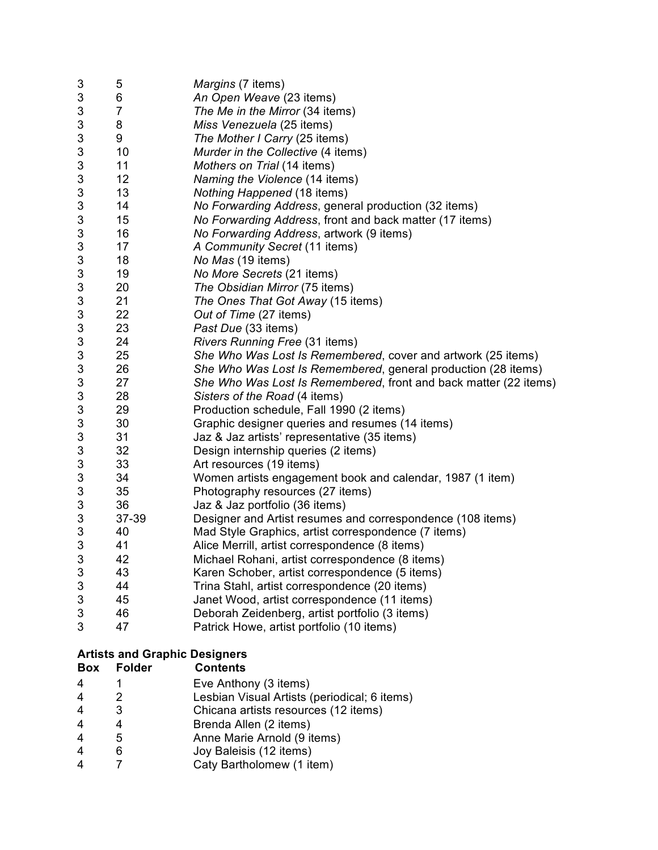| 3 | 5              | Margins (7 items)                                                |
|---|----------------|------------------------------------------------------------------|
| 3 | 6              | An Open Weave (23 items)                                         |
| 3 | $\overline{7}$ | The Me in the Mirror (34 items)                                  |
| 3 | 8              | Miss Venezuela (25 items)                                        |
| 3 | 9              | The Mother I Carry (25 items)                                    |
| 3 | 10             | Murder in the Collective (4 items)                               |
| 3 | 11             | Mothers on Trial (14 items)                                      |
| 3 | 12             | Naming the Violence (14 items)                                   |
| 3 | 13             | Nothing Happened (18 items)                                      |
| 3 | 14             | No Forwarding Address, general production (32 items)             |
| 3 | 15             | No Forwarding Address, front and back matter (17 items)          |
| 3 | 16             | No Forwarding Address, artwork (9 items)                         |
| 3 | 17             | A Community Secret (11 items)                                    |
| 3 | 18             | No Mas (19 items)                                                |
| 3 | 19             | No More Secrets (21 items)                                       |
| 3 | 20             | The Obsidian Mirror (75 items)                                   |
| 3 | 21             | The Ones That Got Away (15 items)                                |
| 3 | 22             | Out of Time (27 items)                                           |
| 3 | 23             | Past Due (33 items)                                              |
| 3 | 24             | Rivers Running Free (31 items)                                   |
| 3 | 25             | She Who Was Lost Is Remembered, cover and artwork (25 items)     |
| 3 | 26             | She Who Was Lost Is Remembered, general production (28 items)    |
| 3 | 27             | She Who Was Lost Is Remembered, front and back matter (22 items) |
| 3 | 28             | Sisters of the Road (4 items)                                    |
| 3 | 29             | Production schedule, Fall 1990 (2 items)                         |
| 3 | 30             | Graphic designer queries and resumes (14 items)                  |
| 3 | 31             | Jaz & Jaz artists' representative (35 items)                     |
| 3 | 32             | Design internship queries (2 items)                              |
| 3 | 33             | Art resources (19 items)                                         |
| 3 | 34             | Women artists engagement book and calendar, 1987 (1 item)        |
| 3 | 35             | Photography resources (27 items)                                 |
| 3 | 36             | Jaz & Jaz portfolio (36 items)                                   |
| 3 | 37-39          | Designer and Artist resumes and correspondence (108 items)       |
| 3 | 40             | Mad Style Graphics, artist correspondence (7 items)              |
| 3 | 41             | Alice Merrill, artist correspondence (8 items)                   |
| 3 | 42             | Michael Rohani, artist correspondence (8 items)                  |
| 3 | 43             | Karen Schober, artist correspondence (5 items)                   |
| 3 | 44             | Trina Stahl, artist correspondence (20 items)                    |
| 3 | 45             | Janet Wood, artist correspondence (11 items)                     |
| 3 | 46             | Deborah Zeidenberg, artist portfolio (3 items)                   |
| 3 | 47             | Patrick Howe, artist portfolio (10 items)                        |
|   |                |                                                                  |

## **Artists and Graphic Designers**

| Box | <b>Folder</b> | <b>Contents</b>                              |
|-----|---------------|----------------------------------------------|
|     |               | Eve Anthony (3 items)                        |
|     | 2             | Lesbian Visual Artists (periodical; 6 items) |
|     | 3             | Chicana artists resources (12 items)         |
|     | 4             | Brenda Allen (2 items)                       |
|     | 5             | Anne Marie Arnold (9 items)                  |
| 4   | 6             | Joy Baleisis (12 items)                      |
|     |               | Caty Bartholomew (1 item)                    |
|     |               |                                              |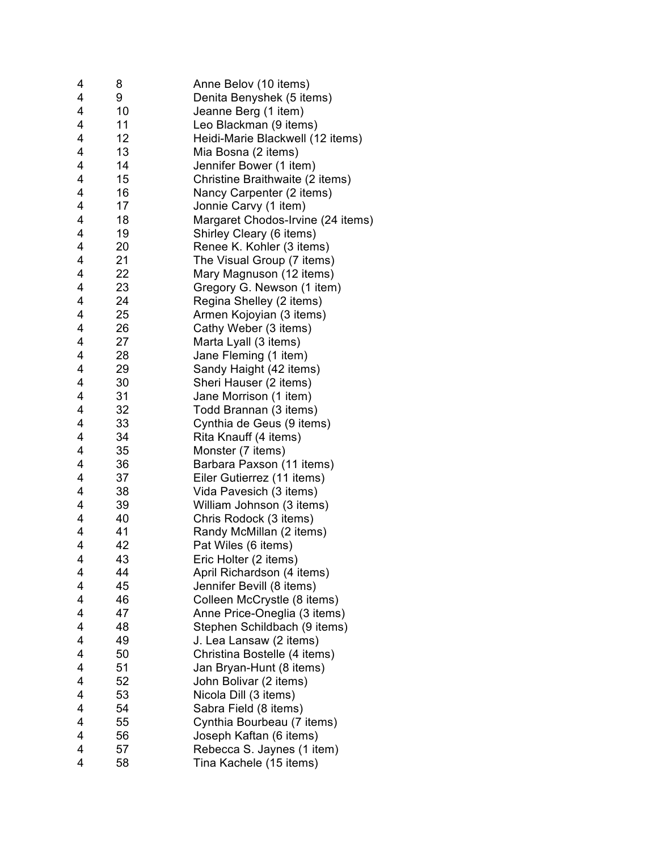| 4                       | 8  | Anne Belov (10 items)             |
|-------------------------|----|-----------------------------------|
| 4                       | 9  | Denita Benyshek (5 items)         |
| 4                       | 10 | Jeanne Berg (1 item)              |
| 4                       | 11 | Leo Blackman (9 items)            |
| 4                       | 12 | Heidi-Marie Blackwell (12 items)  |
| 4                       | 13 | Mia Bosna (2 items)               |
| 4                       | 14 | Jennifer Bower (1 item)           |
| 4                       | 15 | Christine Braithwaite (2 items)   |
| 4                       | 16 | Nancy Carpenter (2 items)         |
| 4                       | 17 | Jonnie Carvy (1 item)             |
| 4                       | 18 | Margaret Chodos-Irvine (24 items) |
| 4                       | 19 | Shirley Cleary (6 items)          |
| 4                       | 20 | Renee K. Kohler (3 items)         |
| 4                       | 21 | The Visual Group (7 items)        |
| 4                       | 22 | Mary Magnuson (12 items)          |
| 4                       | 23 | Gregory G. Newson (1 item)        |
| 4                       | 24 | Regina Shelley (2 items)          |
| 4                       | 25 | Armen Kojoyian (3 items)          |
| 4                       | 26 | Cathy Weber (3 items)             |
| 4                       | 27 | Marta Lyall (3 items)             |
| 4                       | 28 | Jane Fleming (1 item)             |
| 4                       | 29 | Sandy Haight (42 items)           |
| 4                       | 30 | Sheri Hauser (2 items)            |
| 4                       | 31 | Jane Morrison (1 item)            |
| 4                       | 32 |                                   |
| 4                       | 33 | Todd Brannan (3 items)            |
| 4                       | 34 | Cynthia de Geus (9 items)         |
|                         |    | Rita Knauff (4 items)             |
| 4                       | 35 | Monster (7 items)                 |
| 4<br>4                  | 36 | Barbara Paxson (11 items)         |
|                         | 37 | Eiler Gutierrez (11 items)        |
| 4                       | 38 | Vida Pavesich (3 items)           |
| 4                       | 39 | William Johnson (3 items)         |
| 4                       | 40 | Chris Rodock (3 items)            |
| 4                       | 41 | Randy McMillan (2 items)          |
| $\overline{4}$          | 42 | Pat Wiles (6 items)               |
| 4                       | 43 | Eric Holter (2 items)             |
| 4                       | 44 | April Richardson (4 items)        |
| 4                       | 45 | Jennifer Bevill (8 items)         |
| 4                       | 46 | Colleen McCrystle (8 items)       |
| 4                       | 47 | Anne Price-Oneglia (3 items)      |
| 4                       | 48 | Stephen Schildbach (9 items)      |
| 4                       | 49 | J. Lea Lansaw (2 items)           |
| 4                       | 50 | Christina Bostelle (4 items)      |
| $\overline{\mathbf{4}}$ | 51 | Jan Bryan-Hunt (8 items)          |
| 4                       | 52 | John Bolivar (2 items)            |
| 4                       | 53 | Nicola Dill (3 items)             |
| 4                       | 54 | Sabra Field (8 items)             |
| $\overline{4}$          | 55 | Cynthia Bourbeau (7 items)        |
| 4                       | 56 | Joseph Kaftan (6 items)           |
| 4                       | 57 | Rebecca S. Jaynes (1 item)        |
| 4                       | 58 | Tina Kachele (15 items)           |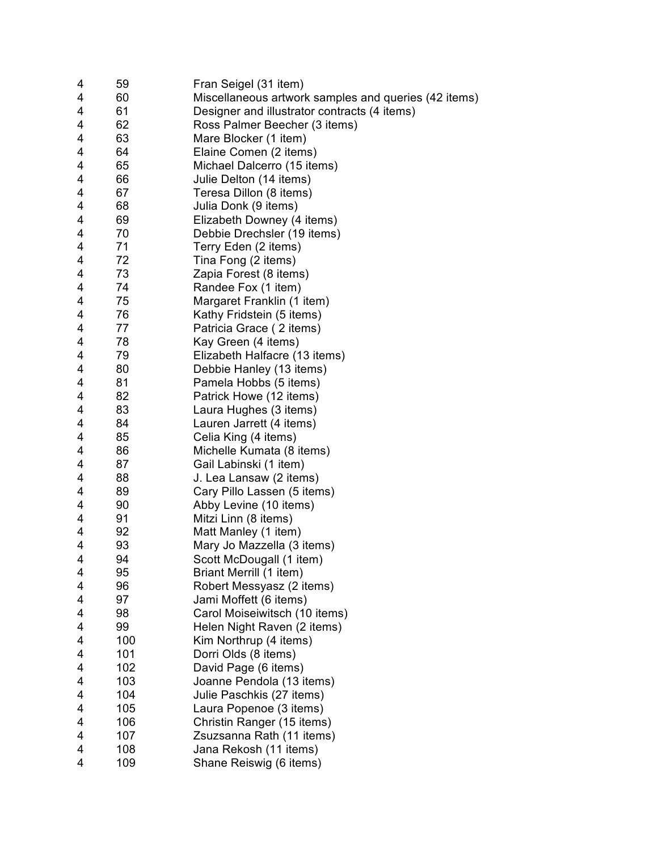| 4                       | 59  | Fran Seigel (31 item)                                |
|-------------------------|-----|------------------------------------------------------|
| $\overline{\mathbf{4}}$ | 60  | Miscellaneous artwork samples and queries (42 items) |
| 4                       | 61  | Designer and illustrator contracts (4 items)         |
| $\overline{\mathbf{4}}$ | 62  | Ross Palmer Beecher (3 items)                        |
| $\overline{4}$          | 63  | Mare Blocker (1 item)                                |
| $\overline{\mathbf{4}}$ | 64  | Elaine Comen (2 items)                               |
| 4                       | 65  | Michael Dalcerro (15 items)                          |
| $\overline{\mathbf{4}}$ | 66  | Julie Delton (14 items)                              |
| $\overline{\mathbf{4}}$ | 67  | Teresa Dillon (8 items)                              |
| 4                       | 68  | Julia Donk (9 items)                                 |
| $\overline{\mathbf{4}}$ | 69  | Elizabeth Downey (4 items)                           |
| 4                       | 70  | Debbie Drechsler (19 items)                          |
| $\overline{\mathbf{4}}$ | 71  | Terry Eden (2 items)                                 |
| $\overline{\mathbf{4}}$ | 72  | Tina Fong (2 items)                                  |
| $\overline{\mathbf{4}}$ | 73  | Zapia Forest (8 items)                               |
| 4                       | 74  | Randee Fox (1 item)                                  |
| 4                       | 75  | Margaret Franklin (1 item)                           |
| 4                       | 76  | Kathy Fridstein (5 items)                            |
| 4                       | 77  | Patricia Grace (2 items)                             |
| $\overline{\mathbf{4}}$ | 78  | Kay Green (4 items)                                  |
| $\overline{\mathbf{4}}$ | 79  | Elizabeth Halfacre (13 items)                        |
| $\overline{\mathbf{4}}$ | 80  | Debbie Hanley (13 items)                             |
| $\overline{\mathbf{4}}$ | 81  | Pamela Hobbs (5 items)                               |
| $\overline{\mathbf{4}}$ | 82  | Patrick Howe (12 items)                              |
| 4                       | 83  | Laura Hughes (3 items)                               |
| 4                       | 84  | Lauren Jarrett (4 items)                             |
| $\overline{\mathbf{4}}$ | 85  | Celia King (4 items)                                 |
| $\overline{\mathbf{4}}$ | 86  | Michelle Kumata (8 items)                            |
| $\overline{\mathbf{4}}$ | 87  | Gail Labinski (1 item)                               |
| $\overline{\mathbf{4}}$ | 88  | J. Lea Lansaw (2 items)                              |
| $\overline{\mathbf{4}}$ | 89  | Cary Pillo Lassen (5 items)                          |
| $\overline{\mathbf{4}}$ | 90  | Abby Levine (10 items)                               |
| $\overline{4}$          | 91  | Mitzi Linn (8 items)                                 |
| 4                       | 92  | Matt Manley (1 item)                                 |
| 4                       | 93  | Mary Jo Mazzella (3 items)                           |
| 4                       | 94  | Scott McDougall (1 item)                             |
| 4                       | 95  | Briant Merrill (1 item)                              |
| 4                       | 96  | Robert Messyasz (2 items)                            |
| 4                       | 97  | Jami Moffett (6 items)                               |
| 4                       | 98  | Carol Moiseiwitsch (10 items)                        |
| 4                       | 99  | Helen Night Raven (2 items)                          |
| 4                       | 100 | Kim Northrup (4 items)                               |
| 4                       | 101 | Dorri Olds (8 items)                                 |
| 4                       | 102 | David Page (6 items)                                 |
| 4                       | 103 | Joanne Pendola (13 items)                            |
| 4                       | 104 | Julie Paschkis (27 items)                            |
| 4                       | 105 | Laura Popenoe (3 items)                              |
| 4                       | 106 | Christin Ranger (15 items)                           |
| 4                       | 107 | Zsuzsanna Rath (11 items)                            |
| $\overline{\mathbf{4}}$ | 108 | Jana Rekosh (11 items)                               |
| 4                       | 109 | Shane Reiswig (6 items)                              |
|                         |     |                                                      |